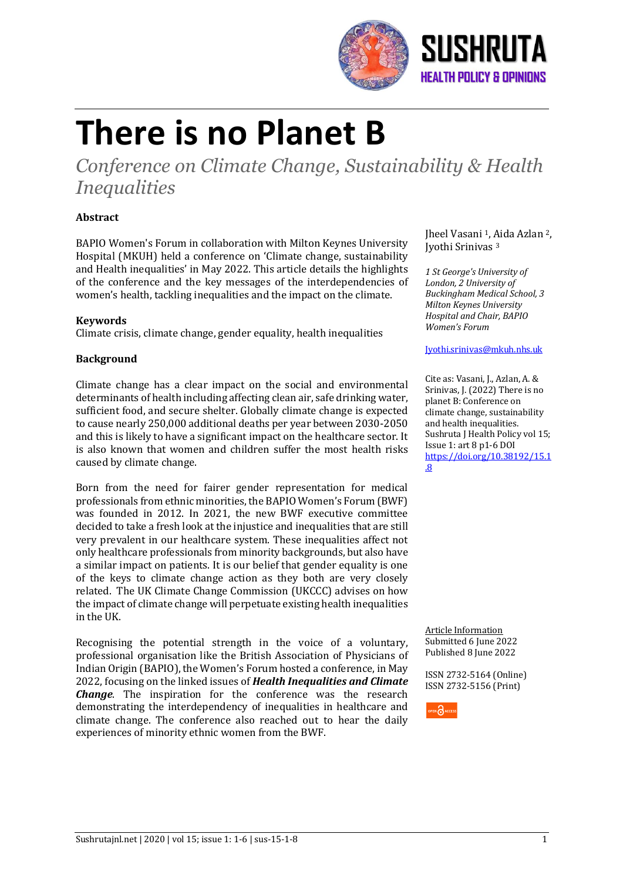

# **There is no Planet B**

*Conference on Climate Change, Sustainability & Health Inequalities*

# **Abstract**

BAPIO Women's Forum in collaboration with Milton Keynes University Hospital (MKUH) held a conference on 'Climate change, sustainability and Health inequalities' in May 2022. This article details the highlights of the conference and the key messages of the interdependencies of women's health, tackling inequalities and the impact on the climate.

# **Keywords**

Climate crisis, climate change, gender equality, health inequalities

# **Background**

Climate change has a clear impact on the social and environmental determinants of health including affecting clean air, safe drinking water, sufficient food, and secure shelter. Globally climate change is expected to cause nearly 250,000 additional deaths per year between 2030-2050 and this is likely to have a significant impact on the healthcare sector. It is also known that women and children suffer the most health risks caused by climate change.

Born from the need for fairer gender representation for medical professionals from ethnic minorities, the BAPIO Women's Forum (BWF) was founded in 2012. In 2021, the new BWF executive committee decided to take a fresh look at the injustice and inequalities that are still very prevalent in our healthcare system. These inequalities affect not only healthcare professionals from minority backgrounds, but also have a similar impact on patients. It is our belief that gender equality is one of the keys to climate change action as they both are very closely related. The UK Climate Change Commission (UKCCC) advises on how the impact of climate change will perpetuate existing health inequalities in the UK.

Recognising the potential strength in the voice of a voluntary, professional organisation like the British Association of Physicians of Indian Origin (BAPIO), the Women's Forum hosted a conference, in May 2022, focusing on the linked issues of **Health Inequalities and Climate** *Change*. The inspiration for the conference was the research demonstrating the interdependency of inequalities in healthcare and climate change. The conference also reached out to hear the daily experiences of minority ethnic women from the BWF.

Jheel Vasani <sup>1</sup>, Aida Azlan <sup>2</sup>, Ivothi Srinivas<sup>3</sup>

*1 St George's University of*  London, 2 University of *Buckingham Medical School, 3 Milton Keynes University Hospital and Chair, BAPIO Women's Forum*

Jyothi.srinivas@mkuh.nhs.uk

Cite as: Vasani, J., Azlan, A. & Srinivas, J. (2022) There is no planet B: Conference on climate change, sustainability and health inequalities. Sushruta J Health Policy vol 15; Issue 1: art 8 p1-6 DOI https://doi.org/10.38192/15.1 .8

**Article Information** Submitted 6 June 2022 Published 8 June 2022

ISSN 2732-5164 (Online) ISSN 2732-5156 (Print)

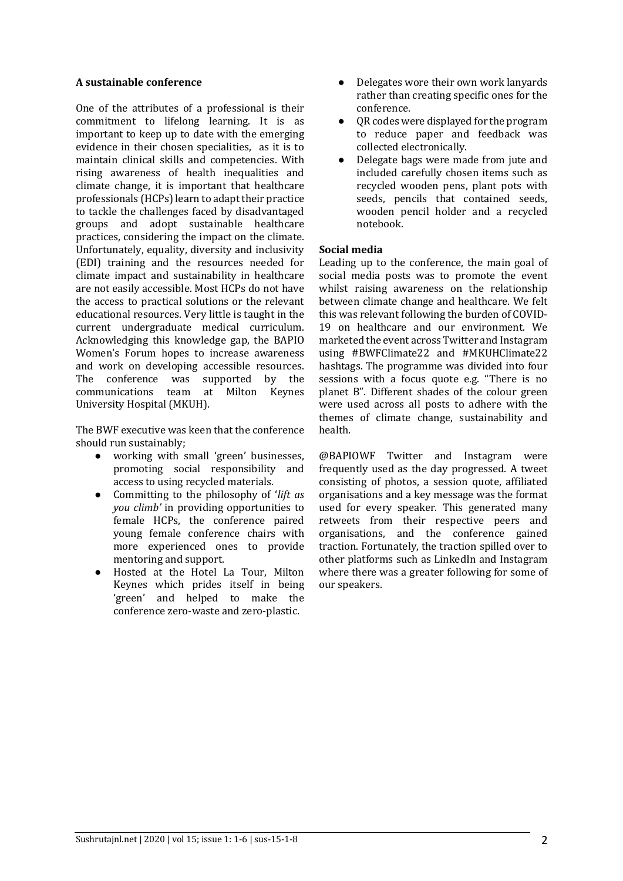### **A sustainable conference**

One of the attributes of a professional is their commitment to lifelong learning. It is as important to keep up to date with the emerging evidence in their chosen specialities, as it is to maintain clinical skills and competencies. With rising awareness of health inequalities and climate change, it is important that healthcare professionals (HCPs) learn to adapt their practice to tackle the challenges faced by disadvantaged groups and adopt sustainable healthcare practices, considering the impact on the climate. Unfortunately, equality, diversity and inclusivity (EDI) training and the resources needed for climate impact and sustainability in healthcare are not easily accessible. Most HCPs do not have the access to practical solutions or the relevant educational resources. Very little is taught in the current undergraduate medical curriculum. Acknowledging this knowledge gap, the BAPIO Women's Forum hopes to increase awareness and work on developing accessible resources. The conference was supported by the communications team at Milton Keynes University Hospital (MKUH).

The BWF executive was keen that the conference should run sustainably:

- working with small 'green' businesses, promoting social responsibility and access to using recycled materials.
- Committing to the philosophy of '*lift as you climb'* in providing opportunities to female HCPs, the conference paired young female conference chairs with more experienced ones to provide mentoring and support.
- Hosted at the Hotel La Tour, Milton Keynes which prides itself in being 'green' and helped to make the conference zero-waste and zero-plastic.
- Delegates wore their own work lanyards rather than creating specific ones for the conference.
- OR codes were displayed for the program to reduce paper and feedback was collected electronically.
- Delegate bags were made from jute and included carefully chosen items such as recycled wooden pens, plant pots with seeds, pencils that contained seeds, wooden pencil holder and a recycled notebook.

# **Social media**

Leading up to the conference, the main goal of social media posts was to promote the event whilst raising awareness on the relationship between climate change and healthcare. We felt this was relevant following the burden of COVID-19 on healthcare and our environment. We marketed the event across Twitter and Instagram using #BWFClimate22 and #MKUHClimate22 hashtags. The programme was divided into four sessions with a focus quote e.g. "There is no planet B". Different shades of the colour green were used across all posts to adhere with the themes of climate change, sustainability and health. 

@BAPIOWF Twitter and Instagram were frequently used as the day progressed. A tweet consisting of photos, a session quote, affiliated organisations and a key message was the format used for every speaker. This generated many retweets from their respective peers and organisations, and the conference gained traction. Fortunately, the traction spilled over to other platforms such as LinkedIn and Instagram where there was a greater following for some of our speakers.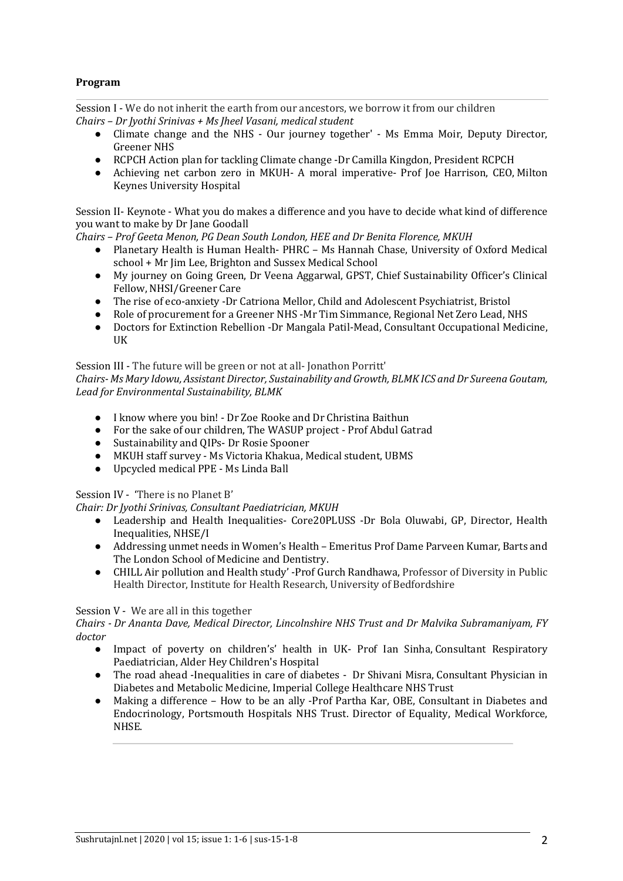# **Program**

Session I - We do not inherit the earth from our ancestors, we borrow it from our children *Chairs – Dr Jyothi Srinivas + Ms Jheel Vasani, medical student*

- Climate change and the NHS Our journey together' Ms Emma Moir, Deputy Director, Greener NHS
- RCPCH Action plan for tackling Climate change -Dr Camilla Kingdon, President RCPCH
- Achieving net carbon zero in MKUH- A moral imperative- Prof Joe Harrison, CEO, Milton Keynes University Hospital

Session II- Keynote - What you do makes a difference and you have to decide what kind of difference you want to make by Dr Jane Goodall

*Chairs – Prof Geeta Menon, PG Dean South London, HEE and Dr Benita Florence, MKUH*

- Planetary Health is Human Health- PHRC Ms Hannah Chase, University of Oxford Medical school + Mr Jim Lee, Brighton and Sussex Medical School
- My journey on Going Green, Dr Veena Aggarwal, GPST, Chief Sustainability Officer's Clinical Fellow, NHSI/Greener Care
- The rise of eco-anxiety -Dr Catriona Mellor, Child and Adolescent Psychiatrist, Bristol
- Role of procurement for a Greener NHS -Mr Tim Simmance, Regional Net Zero Lead, NHS
- Doctors for Extinction Rebellion -Dr Mangala Patil-Mead, Consultant Occupational Medicine, **IIK**

# Session III - The future will be green or not at all- Jonathon Porritt'

*Chairs- Ms Mary Idowu, Assistant Director, Sustainability and Growth, BLMK ICS and Dr Sureena Goutam, Lead for Environmental Sustainability, BLMK*

- I know where you bin! Dr Zoe Rooke and Dr Christina Baithun
- For the sake of our children, The WASUP project Prof Abdul Gatrad
- Sustainability and OIPs- Dr Rosie Spooner
- MKUH staff survey Ms Victoria Khakua, Medical student, UBMS
- Upcycled medical PPE Ms Linda Ball

# Session IV - 'There is no Planet  $B'$

*Chair: Dr Jyothi Srinivas, Consultant Paediatrician, MKUH* 

- Leadership and Health Inequalities- Core20PLUSS -Dr Bola Oluwabi, GP, Director, Health Inequalities, NHSE/I
- Addressing unmet needs in Women's Health Emeritus Prof Dame Parveen Kumar, Barts and The London School of Medicine and Dentistry.
- CHILL Air pollution and Health study' -Prof Gurch Randhawa, Professor of Diversity in Public Health Director, Institute for Health Research, University of Bedfordshire

# Session  $V - W$ e are all in this together

*Chairs - Dr Ananta Dave, Medical Director, Lincolnshire NHS Trust and Dr Malvika Subramaniyam, FY doctor*

- Impact of poverty on children's' health in UK- Prof Ian Sinha, Consultant Respiratory Paediatrician, Alder Hey Children's Hospital
- The road ahead -Inequalities in care of diabetes Dr Shivani Misra, Consultant Physician in Diabetes and Metabolic Medicine, Imperial College Healthcare NHS Trust
- Making a difference How to be an ally -Prof Partha Kar, OBE, Consultant in Diabetes and Endocrinology, Portsmouth Hospitals NHS Trust. Director of Equality, Medical Workforce, NHSE.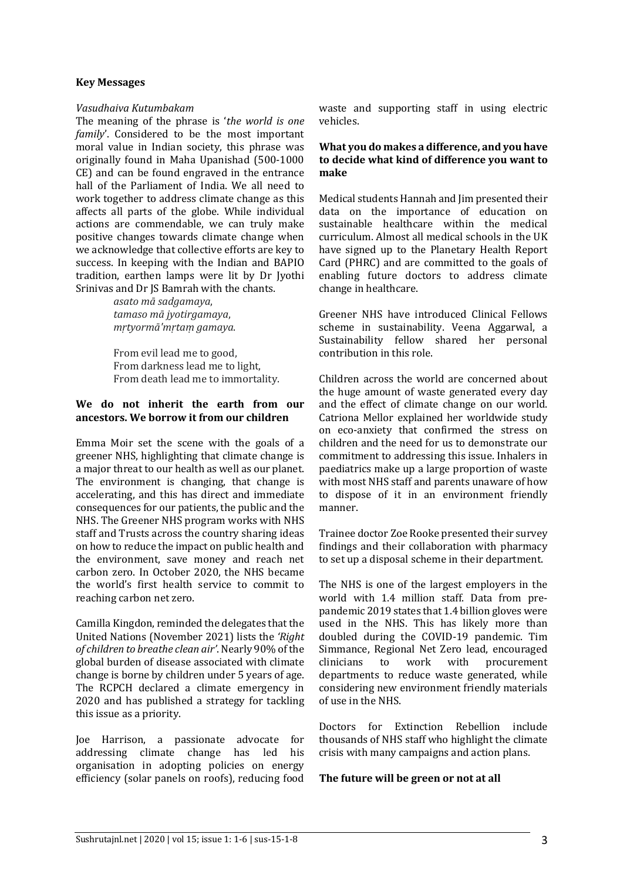### **Key Messages**

#### *Vasudhaiva Kutumbakam*

The meaning of the phrase is '*the world is one family*'. Considered to be the most important moral value in Indian society, this phrase was originally found in Maha Upanishad (500-1000 CE) and can be found engraved in the entrance hall of the Parliament of India. We all need to work together to address climate change as this affects all parts of the globe. While individual actions are commendable, we can truly make positive changes towards climate change when we acknowledge that collective efforts are key to success. In keeping with the Indian and BAPIO tradition, earthen lamps were lit by Dr Jyothi Srinivas and Dr JS Bamrah with the chants.

> *asato mā sadgamaya*, *tamaso mā jyotirgamaya*, *mṛtyormā'mṛtaṃ gamaya*.

From evil lead me to good, From darkness lead me to light, From death lead me to immortality.

#### We do not inherit the earth from our **ancestors. We borrow it from our children**

Emma Moir set the scene with the goals of a greener NHS, highlighting that climate change is a major threat to our health as well as our planet. The environment is changing, that change is accelerating, and this has direct and immediate consequences for our patients, the public and the NHS. The Greener NHS program works with NHS staff and Trusts across the country sharing ideas on how to reduce the impact on public health and the environment, save money and reach net carbon zero. In October 2020, the NHS became the world's first health service to commit to reaching carbon net zero.

Camilla Kingdon, reminded the delegates that the United Nations (November 2021) lists the 'Right of children to breathe clean air'. Nearly 90% of the global burden of disease associated with climate change is borne by children under 5 years of age. The RCPCH declared a climate emergency in 2020 and has published a strategy for tackling this issue as a priority.

Joe Harrison, a passionate advocate for addressing climate change has led his organisation in adopting policies on energy efficiency (solar panels on roofs), reducing food waste and supporting staff in using electric vehicles. 

## **What you do makes a difference, and you have** to decide what kind of difference you want to **make**

Medical students Hannah and Jim presented their data on the importance of education on sustainable healthcare within the medical curriculum. Almost all medical schools in the UK have signed up to the Planetary Health Report Card (PHRC) and are committed to the goals of enabling future doctors to address climate change in healthcare.

Greener NHS have introduced Clinical Fellows scheme in sustainability. Veena Aggarwal, a Sustainability fellow shared her personal contribution in this role.

Children across the world are concerned about the huge amount of waste generated every day and the effect of climate change on our world. Catriona Mellor explained her worldwide study on eco-anxiety that confirmed the stress on children and the need for us to demonstrate our commitment to addressing this issue. Inhalers in paediatrics make up a large proportion of waste with most NHS staff and parents unaware of how to dispose of it in an environment friendly manner. 

Trainee doctor Zoe Rooke presented their survey findings and their collaboration with pharmacy to set up a disposal scheme in their department.

The NHS is one of the largest employers in the world with 1.4 million staff. Data from prepandemic 2019 states that 1.4 billion gloves were used in the NHS. This has likely more than doubled during the COVID-19 pandemic. Tim Simmance, Regional Net Zero lead, encouraged<br>clinicians to work with procurement clinicians to work with procurement departments to reduce waste generated, while considering new environment friendly materials of use in the NHS.

Doctors for Extinction Rebellion include thousands of NHS staff who highlight the climate crisis with many campaigns and action plans.

#### The future will be green or not at all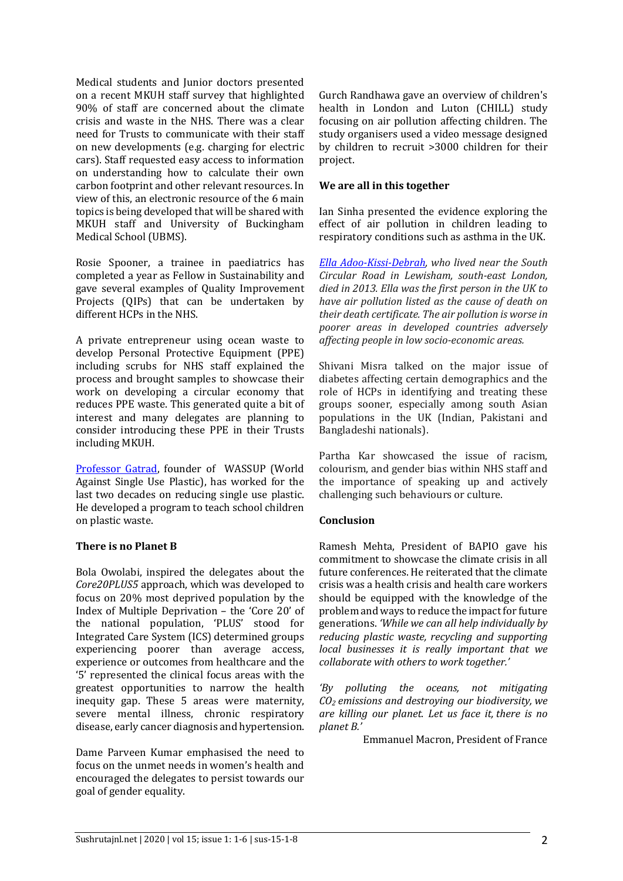Medical students and Junior doctors presented on a recent MKUH staff survey that highlighted 90% of staff are concerned about the climate crisis and waste in the NHS. There was a clear need for Trusts to communicate with their staff on new developments (e.g. charging for electric cars). Staff requested easy access to information on understanding how to calculate their own carbon footprint and other relevant resources. In view of this, an electronic resource of the 6 main topics is being developed that will be shared with MKUH staff and University of Buckingham Medical School (UBMS).

Rosie Spooner, a trainee in paediatrics has completed a year as Fellow in Sustainability and gave several examples of Quality Improvement Projects (QIPs) that can be undertaken by different HCPs in the NHS.

A private entrepreneur using ocean waste to develop Personal Protective Equipment (PPE) including scrubs for NHS staff explained the process and brought samples to showcase their work on developing a circular economy that reduces PPE waste. This generated quite a bit of interest and many delegates are planning to consider introducing these PPE in their Trusts including MKUH.

Professor Gatrad, founder of WASSUP (World Against Single Use Plastic), has worked for the last two decades on reducing single use plastic. He developed a program to teach school children on plastic waste.

# **There is no Planet B**

Bola Owolabi, inspired the delegates about the *Core20PLUS5* approach, which was developed to focus on 20% most deprived population by the Index of Multiple Deprivation - the 'Core 20' of the national population, 'PLUS' stood for Integrated Care System (ICS) determined groups experiencing poorer than average access, experience or outcomes from healthcare and the '5' represented the clinical focus areas with the greatest opportunities to narrow the health inequity gap. These 5 areas were maternity, severe mental illness, chronic respiratory disease, early cancer diagnosis and hypertension.

Dame Parveen Kumar emphasised the need to focus on the unmet needs in women's health and encouraged the delegates to persist towards our goal of gender equality.

Gurch Randhawa gave an overview of children's health in London and Luton (CHILL) study focusing on air pollution affecting children. The study organisers used a video message designed by children to recruit >3000 children for their project. 

## We are all in this together

Ian Sinha presented the evidence exploring the effect of air pollution in children leading to respiratory conditions such as asthma in the UK.

*Ella Adoo-Kissi-Debrah, who lived near the South Circular Road in Lewisham, south-east London,*  died in 2013. Ella was the first person in the UK to have air pollution listed as the cause of death on their death certificate. The air pollution is worse in *poorer areas in developed countries adversely affecting people in low socio-economic areas.* 

Shivani Misra talked on the major issue of diabetes affecting certain demographics and the role of HCPs in identifying and treating these groups sooner, especially among south Asian populations in the UK (Indian, Pakistani and Bangladeshi nationals).

Partha Kar showcased the issue of racism, colourism, and gender bias within NHS staff and the importance of speaking up and actively challenging such behaviours or culture.

# **Conclusion**

Ramesh Mehta, President of BAPIO gave his commitment to showcase the climate crisis in all future conferences. He reiterated that the climate crisis was a health crisis and health care workers should be equipped with the knowledge of the problem and ways to reduce the impact for future generations. *While we can all help individually by reducing plastic waste, recycling and supporting local businesses it is really important that we* collaborate with others to work together.'

*'By polluting the oceans, not mitigating CO2 emissions and destroying our biodiversity, we are killing our planet. Let us face it, there is no planet B.'*

Emmanuel Macron, President of France